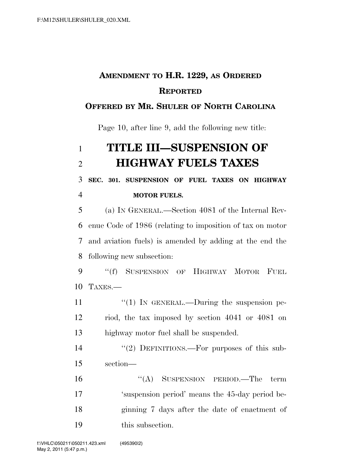## **AMENDMENT TO H.R. 1229, AS ORDERED REPORTED**

#### **OFFERED BY MR. SHULER OF NORTH CAROLINA**

Page 10, after line 9, add the following new title:

# **TITLE III—SUSPENSION OF HIGHWAY FUELS TAXES**

**SEC. 301. SUSPENSION OF FUEL TAXES ON HIGHWAY** 

**MOTOR FUELS.** 

 (a) IN GENERAL.—Section 4081 of the Internal Rev- enue Code of 1986 (relating to imposition of tax on motor and aviation fuels) is amended by adding at the end the following new subsection:

 ''(f) SUSPENSION OF HIGHWAY MOTOR FUEL TAXES.—

11  $\frac{u(1)}{N}$  IN GENERAL.—During the suspension pe- riod, the tax imposed by section 4041 or 4081 on highway motor fuel shall be suspended.

14  $(2)$  DEFINITIONS.—For purposes of this sub-section—

16 "(A) SUSPENSION PERIOD.—The term 'suspension period' means the 45-day period be- ginning 7 days after the date of enactment of this subsection.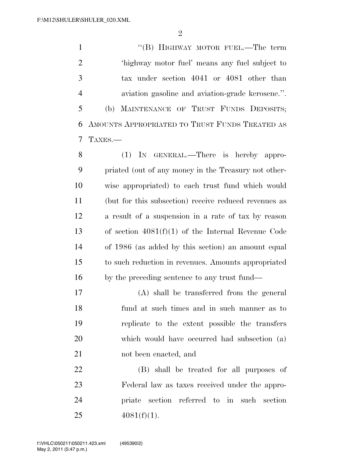$\mathfrak{D}$ 

1 "'(B) HIGHWAY MOTOR FUEL.—The term 'highway motor fuel' means any fuel subject to tax under section 4041 or 4081 other than aviation gasoline and aviation-grade kerosene.''. (b) MAINTENANCE OF TRUST FUNDS DEPOSITS; AMOUNTS APPROPRIATED TO TRUST FUNDS TREATED AS TAXES.—

 (1) IN GENERAL.—There is hereby appro- priated (out of any money in the Treasury not other- wise appropriated) to each trust fund which would (but for this subsection) receive reduced revenues as a result of a suspension in a rate of tax by reason of section 4081(f)(1) of the Internal Revenue Code of 1986 (as added by this section) an amount equal to such reduction in revenues. Amounts appropriated by the preceding sentence to any trust fund—

 (A) shall be transferred from the general fund at such times and in such manner as to replicate to the extent possible the transfers which would have occurred had subsection (a) not been enacted, and

 (B) shall be treated for all purposes of Federal law as taxes received under the appro- priate section referred to in such section  $4081(f)(1)$ .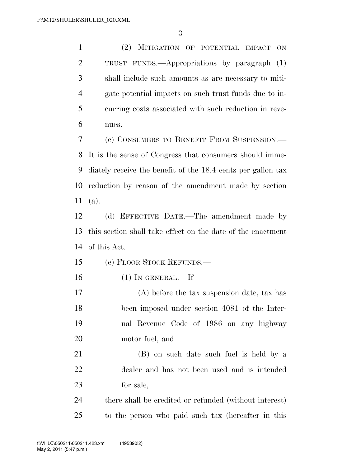(2) MITIGATION OF POTENTIAL IMPACT ON TRUST FUNDS.—Appropriations by paragraph (1) shall include such amounts as are necessary to miti- gate potential impacts on such trust funds due to in- curring costs associated with such reduction in reve-nues.

 (c) CONSUMERS TO BENEFIT FROM SUSPENSION.— It is the sense of Congress that consumers should imme- diately receive the benefit of the 18.4 cents per gallon tax reduction by reason of the amendment made by section (a).

 (d) EFFECTIVE DATE.—The amendment made by this section shall take effect on the date of the enactment of this Act.

(e) FLOOR STOCK REFUNDS.—

(1) IN GENERAL.—If—

 (A) before the tax suspension date, tax has been imposed under section 4081 of the Inter- nal Revenue Code of 1986 on any highway motor fuel, and

 (B) on such date such fuel is held by a dealer and has not been used and is intended for sale,

 there shall be credited or refunded (without interest) to the person who paid such tax (hereafter in this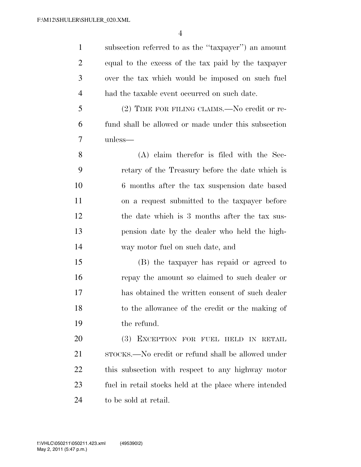subsection referred to as the ''taxpayer'') an amount equal to the excess of the tax paid by the taxpayer over the tax which would be imposed on such fuel had the taxable event occurred on such date. (2) TIME FOR FILING CLAIMS.—No credit or re- fund shall be allowed or made under this subsection unless— (A) claim therefor is filed with the Sec- retary of the Treasury before the date which is 6 months after the tax suspension date based on a request submitted to the taxpayer before the date which is 3 months after the tax sus- pension date by the dealer who held the high- way motor fuel on such date, and (B) the taxpayer has repaid or agreed to repay the amount so claimed to such dealer or has obtained the written consent of such dealer to the allowance of the credit or the making of the refund. (3) EXCEPTION FOR FUEL HELD IN RETAIL 21 STOCKS.—No credit or refund shall be allowed under this subsection with respect to any highway motor fuel in retail stocks held at the place where intended to be sold at retail.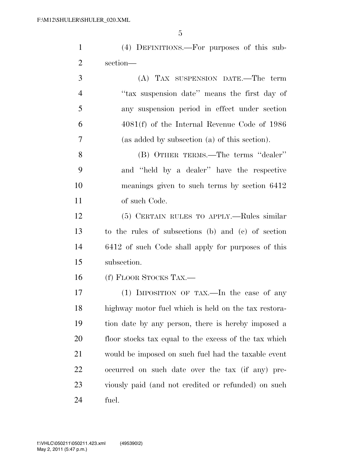(4) DEFINITIONS.—For purposes of this sub-section—

| 3              | (A) TAX SUSPENSION DATE.—The term              |
|----------------|------------------------------------------------|
| $\overline{4}$ | "tax suspension date" means the first day of   |
| 5              | any suspension period in effect under section  |
| 6              | $4081(f)$ of the Internal Revenue Code of 1986 |
| 7              | (as added by subsection (a) of this section).  |

 (B) OTHER TERMS.—The terms ''dealer'' and ''held by a dealer'' have the respective meanings given to such terms by section 6412 of such Code.

 (5) CERTAIN RULES TO APPLY.—Rules similar to the rules of subsections (b) and (c) of section 6412 of such Code shall apply for purposes of this subsection.

(f) FLOOR STOCKS TAX.—

 (1) IMPOSITION OF TAX.—In the case of any highway motor fuel which is held on the tax restora- tion date by any person, there is hereby imposed a floor stocks tax equal to the excess of the tax which would be imposed on such fuel had the taxable event occurred on such date over the tax (if any) pre- viously paid (and not credited or refunded) on such fuel.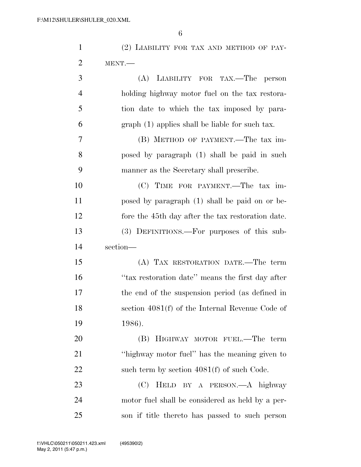| $\mathbf{1}$   | (2) LIABILITY FOR TAX AND METHOD OF PAY-          |
|----------------|---------------------------------------------------|
| $\overline{2}$ | MENT.                                             |
| 3              | (A) LIABILITY FOR TAX.—The<br>person              |
| $\overline{4}$ | holding highway motor fuel on the tax restora-    |
| 5              | tion date to which the tax imposed by para-       |
| 6              | $graph(1)$ applies shall be liable for such tax.  |
| $\overline{7}$ | (B) METHOD OF PAYMENT.—The tax im-                |
| 8              | posed by paragraph (1) shall be paid in such      |
| 9              | manner as the Secretary shall prescribe.          |
| 10             | (C) TIME FOR PAYMENT.—The tax im-                 |
| 11             | posed by paragraph (1) shall be paid on or be-    |
| 12             | fore the 45th day after the tax restoration date. |
| 13             | (3) DEFINITIONS.—For purposes of this sub-        |
| 14             | section-                                          |
| 15             | (A) TAX RESTORATION DATE.—The term                |
| 16             | "tax restoration date" means the first day after  |
| 17             | the end of the suspension period (as defined in   |
| 18             | section 4081(f) of the Internal Revenue Code of   |
| 19             | 1986).                                            |
| 20             | (B) HIGHWAY MOTOR FUEL.—The term                  |
| 21             | "highway motor fuel" has the meaning given to     |
| 22             | such term by section $4081(f)$ of such Code.      |
| 23             | (C)<br>HELD BY A PERSON.—A highway                |
| 24             | motor fuel shall be considered as held by a per-  |
| 25             | son if title thereto has passed to such person    |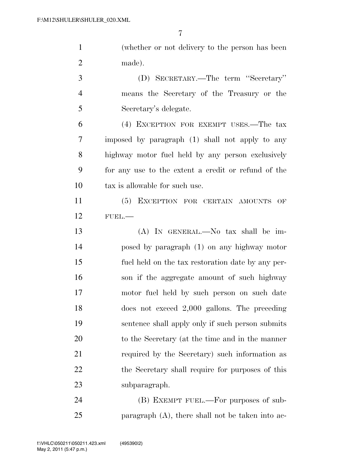| $\mathbf{1}$   | (whether or not delivery to the person has been     |
|----------------|-----------------------------------------------------|
| $\overline{2}$ | made).                                              |
| 3              | (D) SECRETARY.—The term "Secretary"                 |
| $\overline{4}$ | means the Secretary of the Treasury or the          |
| 5              | Secretary's delegate.                               |
| 6              | (4) EXCEPTION FOR EXEMPT USES.—The tax              |
| 7              | imposed by paragraph (1) shall not apply to any     |
| 8              | highway motor fuel held by any person exclusively   |
| 9              | for any use to the extent a credit or refund of the |
| 10             | tax is allowable for such use.                      |
| 11             | (5) EXCEPTION FOR CERTAIN AMOUNTS OF                |
| 12             | FUEL.                                               |
| 13             | $(A)$ In GENERAL.—No tax shall be im-               |
| 14             | posed by paragraph (1) on any highway motor         |
| 15             | fuel held on the tax restoration date by any per-   |
| 16             | son if the aggregate amount of such highway         |
| 17             | motor fuel held by such person on such date         |
| 18             | does not exceed $2,000$ gallons. The preceding      |
| 19             | sentence shall apply only if such person submits    |
| 20             | to the Secretary (at the time and in the manner     |
| 21             | required by the Secretary) such information as      |
| 22             | the Secretary shall require for purposes of this    |
| 23             | subparagraph.                                       |
| 24             | (B) EXEMPT FUEL.—For purposes of sub-               |

paragraph (A), there shall not be taken into ac-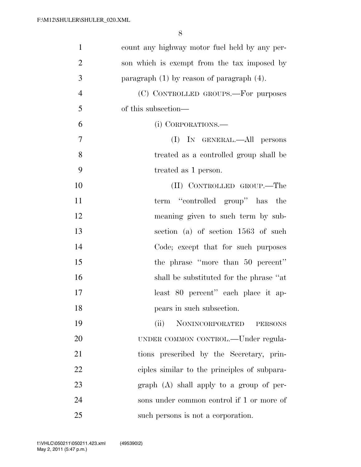| $\mathbf{1}$   | count any highway motor fuel held by any per-  |
|----------------|------------------------------------------------|
| $\overline{2}$ | son which is exempt from the tax imposed by    |
| 3              | paragraph $(1)$ by reason of paragraph $(4)$ . |
| $\overline{4}$ | (C) CONTROLLED GROUPS.—For purposes            |
| 5              | of this subsection—                            |
| 6              | (i) CORPORATIONS.                              |
| 7              | (I) IN GENERAL.—All persons                    |
| 8              | treated as a controlled group shall be         |
| 9              | treated as 1 person.                           |
| 10             | (II) CONTROLLED GROUP.—The                     |
| 11             | term "controlled group" has the                |
| 12             | meaning given to such term by sub-             |
| 13             | section (a) of section 1563 of such            |
| 14             | Code; except that for such purposes            |
| 15             | the phrase "more than 50 percent"              |
| 16             | shall be substituted for the phrase "at        |
| 17             | least 80 percent" each place it ap-            |
| 18             | pears in such subsection.                      |
| 19             | NONINCORPORATED<br>(ii)<br><b>PERSONS</b>      |
| 20             | UNDER COMMON CONTROL.—Under regula-            |
| 21             | tions prescribed by the Secretary, prin-       |
| 22             | ciples similar to the principles of subpara-   |
| 23             | $graph(A)$ shall apply to a group of per-      |
| 24             | sons under common control if 1 or more of      |
| 25             | such persons is not a corporation.             |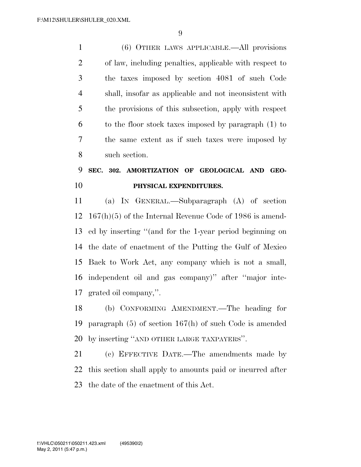(6) OTHER LAWS APPLICABLE.—All provisions of law, including penalties, applicable with respect to the taxes imposed by section 4081 of such Code shall, insofar as applicable and not inconsistent with the provisions of this subsection, apply with respect to the floor stock taxes imposed by paragraph (1) to the same extent as if such taxes were imposed by such section.

### **SEC. 302. AMORTIZATION OF GEOLOGICAL AND GEO-PHYSICAL EXPENDITURES.**

 (a) IN GENERAL.—Subparagraph (A) of section 167(h)(5) of the Internal Revenue Code of 1986 is amend- ed by inserting ''(and for the 1-year period beginning on the date of enactment of the Putting the Gulf of Mexico Back to Work Act, any company which is not a small, independent oil and gas company)'' after ''major inte-grated oil company,''.

 (b) CONFORMING AMENDMENT.—The heading for paragraph (5) of section 167(h) of such Code is amended by inserting ''AND OTHER LARGE TAXPAYERS''.

 (c) EFFECTIVE DATE.—The amendments made by this section shall apply to amounts paid or incurred after the date of the enactment of this Act.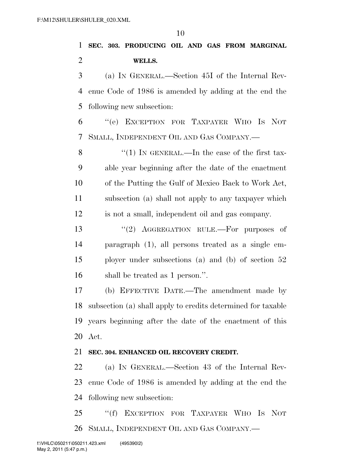### **SEC. 303. PRODUCING OIL AND GAS FROM MARGINAL WELLS.**

 (a) IN GENERAL.—Section 45I of the Internal Rev- enue Code of 1986 is amended by adding at the end the following new subsection:

 ''(e) EXCEPTION FOR TAXPAYER WHO IS NOT SMALL, INDEPENDENT OIL AND GAS COMPANY.—

8 "(1) IN GENERAL.—In the case of the first tax- able year beginning after the date of the enactment of the Putting the Gulf of Mexico Back to Work Act, subsection (a) shall not apply to any taxpayer which is not a small, independent oil and gas company.

13 "(2) AGGREGATION RULE.—For purposes of paragraph (1), all persons treated as a single em- ployer under subsections (a) and (b) of section 52 shall be treated as 1 person.''.

 (b) EFFECTIVE DATE.—The amendment made by subsection (a) shall apply to credits determined for taxable years beginning after the date of the enactment of this Act.

#### **SEC. 304. ENHANCED OIL RECOVERY CREDIT.**

 (a) IN GENERAL.—Section 43 of the Internal Rev- enue Code of 1986 is amended by adding at the end the following new subsection:

25 "(f) EXCEPTION FOR TAXPAYER WHO IS NOT SMALL, INDEPENDENT OIL AND GAS COMPANY.—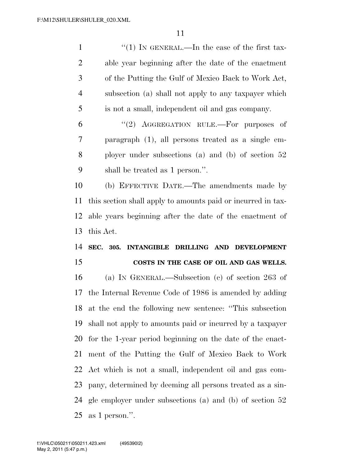1 ''(1) In GENERAL.—In the case of the first tax- able year beginning after the date of the enactment of the Putting the Gulf of Mexico Back to Work Act, subsection (a) shall not apply to any taxpayer which is not a small, independent oil and gas company.

 $(2)$  AGGREGATION RULE.—For purposes of paragraph (1), all persons treated as a single em- ployer under subsections (a) and (b) of section 52 shall be treated as 1 person.''.

 (b) EFFECTIVE DATE.—The amendments made by this section shall apply to amounts paid or incurred in tax- able years beginning after the date of the enactment of this Act.

### **SEC. 305. INTANGIBLE DRILLING AND DEVELOPMENT COSTS IN THE CASE OF OIL AND GAS WELLS.**

 (a) IN GENERAL.—Subsection (c) of section 263 of the Internal Revenue Code of 1986 is amended by adding at the end the following new sentence: ''This subsection shall not apply to amounts paid or incurred by a taxpayer for the 1-year period beginning on the date of the enact- ment of the Putting the Gulf of Mexico Back to Work Act which is not a small, independent oil and gas com- pany, determined by deeming all persons treated as a sin- gle employer under subsections (a) and (b) of section 52 as 1 person.''.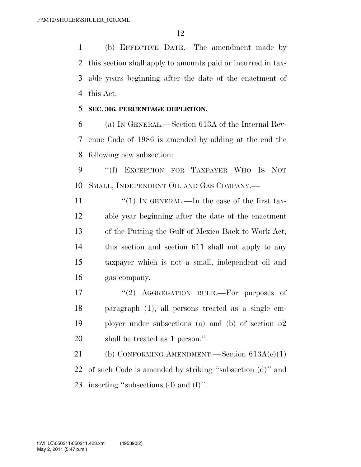(b) EFFECTIVE DATE.—The amendment made by this section shall apply to amounts paid or incurred in tax- able years beginning after the date of the enactment of this Act.

**SEC. 306. PERCENTAGE DEPLETION.** 

 (a) IN GENERAL.—Section 613A of the Internal Rev- enue Code of 1986 is amended by adding at the end the following new subsection:

 ''(f) EXCEPTION FOR TAXPAYER WHO IS NOT SMALL, INDEPENDENT OIL AND GAS COMPANY.—

 $\frac{1}{1}$  IN GENERAL.—In the case of the first tax- able year beginning after the date of the enactment of the Putting the Gulf of Mexico Back to Work Act, this section and section 611 shall not apply to any taxpayer which is not a small, independent oil and gas company.

17 "(2) AGGREGATION RULE.—For purposes of paragraph (1), all persons treated as a single em- ployer under subsections (a) and (b) of section 52 shall be treated as 1 person.''.

21 (b) CONFORMING AMENDMENT. Section  $613A(c)(1)$  of such Code is amended by striking ''subsection (d)'' and inserting ''subsections (d) and (f)''.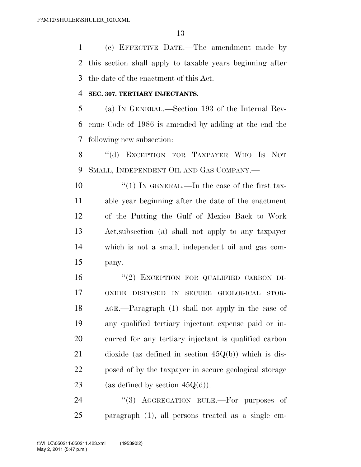(c) EFFECTIVE DATE.—The amendment made by this section shall apply to taxable years beginning after the date of the enactment of this Act.

#### **SEC. 307. TERTIARY INJECTANTS.**

 (a) IN GENERAL.—Section 193 of the Internal Rev- enue Code of 1986 is amended by adding at the end the following new subsection:

8 "(d) EXCEPTION FOR TAXPAYER WHO IS NOT SMALL, INDEPENDENT OIL AND GAS COMPANY.—

 $\frac{u(1)}{N}$  IN GENERAL.—In the case of the first tax- able year beginning after the date of the enactment of the Putting the Gulf of Mexico Back to Work Act,subsection (a) shall not apply to any taxpayer which is not a small, independent oil and gas com-pany.

 ''(2) EXCEPTION FOR QUALIFIED CARBON DI- OXIDE DISPOSED IN SECURE GEOLOGICAL STOR- AGE.—Paragraph (1) shall not apply in the case of any qualified tertiary injectant expense paid or in- curred for any tertiary injectant is qualified carbon dioxide (as defined in section 45Q(b)) which is dis- posed of by the taxpayer in secure geological storage 23 (as defined by section  $45Q(d)$ ).

24 "(3) AGGREGATION RULE.—For purposes of paragraph (1), all persons treated as a single em-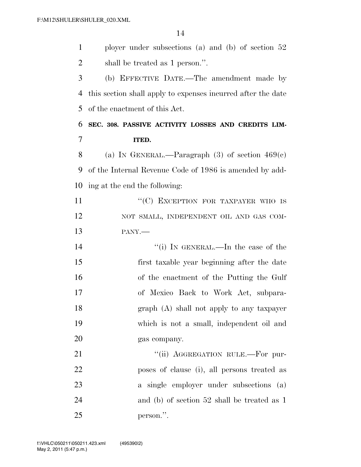| $\mathbf{1}$   | ployer under subsections (a) and (b) of section $52$         |
|----------------|--------------------------------------------------------------|
| $\overline{2}$ | shall be treated as 1 person.".                              |
| 3              | (b) EFFECTIVE DATE.—The amendment made by                    |
| $\overline{4}$ | this section shall apply to expenses incurred after the date |
| 5              | of the enactment of this Act.                                |
| 6              | SEC. 308. PASSIVE ACTIVITY LOSSES AND CREDITS LIM-           |
| 7              | ITED.                                                        |
| 8              | (a) IN GENERAL.—Paragraph $(3)$ of section $469(e)$          |
| 9              | of the Internal Revenue Code of 1986 is amended by add-      |
| 10             | ing at the end the following:                                |
| 11             | "(C) EXCEPTION FOR TAXPAYER WHO IS                           |
| 12             | NOT SMALL, INDEPENDENT OIL AND GAS COM-                      |
| 13             | PANY.-                                                       |
| 14             | "(i) IN GENERAL.—In the case of the                          |
| 15             | first taxable year beginning after the date                  |
| 16             | of the enactment of the Putting the Gulf                     |
| 17             | of Mexico Back to Work Act, subpara-                         |
| 18             | graph (A) shall not apply to any taxpayer                    |
| 19             | which is not a small, independent oil and                    |
| 20             | gas company.                                                 |
| 21             | "(ii) AGGREGATION RULE.—For pur-                             |
| 22             | poses of clause (i), all persons treated as                  |
| 23             | a single employer under subsections (a)                      |
| 24             | and (b) of section $52$ shall be treated as 1                |
| 25             | person.".                                                    |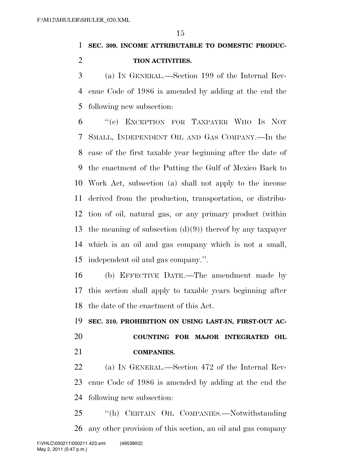#### **SEC. 309. INCOME ATTRIBUTABLE TO DOMESTIC PRODUC-**

#### **TION ACTIVITIES.**

 (a) IN GENERAL.—Section 199 of the Internal Rev- enue Code of 1986 is amended by adding at the end the following new subsection:

 ''(e) EXCEPTION FOR TAXPAYER WHO IS NOT SMALL, INDEPENDENT OIL AND GAS COMPANY.—In the case of the first taxable year beginning after the date of the enactment of the Putting the Gulf of Mexico Back to Work Act, subsection (a) shall not apply to the income derived from the production, transportation, or distribu- tion of oil, natural gas, or any primary product (within 13 the meaning of subsection  $(d)(9)$  thereof by any taxpayer which is an oil and gas company which is not a small, independent oil and gas company.''.

 (b) EFFECTIVE DATE.—The amendment made by this section shall apply to taxable years beginning after the date of the enactment of this Act.

 **SEC. 310. PROHIBITION ON USING LAST-IN, FIRST-OUT AC- COUNTING FOR MAJOR INTEGRATED OIL COMPANIES.** 

 (a) IN GENERAL.—Section 472 of the Internal Rev-enue Code of 1986 is amended by adding at the end the

following new subsection:

 ''(h) CERTAIN OIL COMPANIES.—Notwithstanding any other provision of this section, an oil and gas company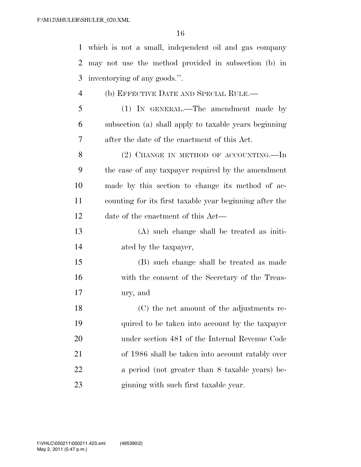which is not a small, independent oil and gas company may not use the method provided in subsection (b) in inventorying of any goods.''. (b) EFFECTIVE DATE AND SPECIAL RULE.— (1) IN GENERAL.—The amendment made by subsection (a) shall apply to taxable years beginning after the date of the enactment of this Act. 8 (2) CHANGE IN METHOD OF ACCOUNTING.—In the case of any taxpayer required by the amendment made by this section to change its method of ac- counting for its first taxable year beginning after the date of the enactment of this Act— (A) such change shall be treated as initi- ated by the taxpayer, (B) such change shall be treated as made with the consent of the Secretary of the Treas- ury, and (C) the net amount of the adjustments re-quired to be taken into account by the taxpayer

under section 481 of the Internal Revenue Code

of 1986 shall be taken into account ratably over

a period (not greater than 8 taxable years) be-

ginning with such first taxable year.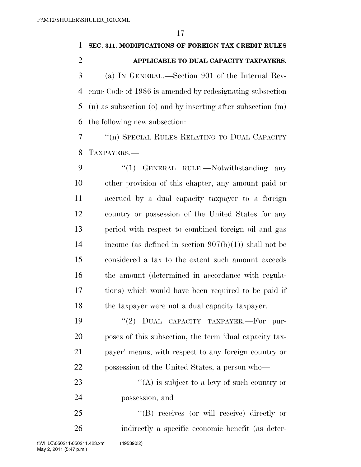# **SEC. 311. MODIFICATIONS OF FOREIGN TAX CREDIT RULES APPLICABLE TO DUAL CAPACITY TAXPAYERS.**  (a) IN GENERAL.—Section 901 of the Internal Rev- enue Code of 1986 is amended by redesignating subsection (n) as subsection (o) and by inserting after subsection (m)

the following new subsection:

 ''(n) SPECIAL RULES RELATING TO DUAL CAPACITY TAXPAYERS.—

9 "(1) GENERAL RULE.—Notwithstanding any other provision of this chapter, any amount paid or accrued by a dual capacity taxpayer to a foreign country or possession of the United States for any period with respect to combined foreign oil and gas 14 income (as defined in section  $907(b)(1)$ ) shall not be considered a tax to the extent such amount exceeds the amount (determined in accordance with regula- tions) which would have been required to be paid if the taxpayer were not a dual capacity taxpayer.

 $(2)$  DUAL CAPACITY TAXPAYER. For pur- poses of this subsection, the term 'dual capacity tax- payer' means, with respect to any foreign country or possession of the United States, a person who—

23  $\langle (A)$  is subject to a levy of such country or possession, and

 ''(B) receives (or will receive) directly or indirectly a specific economic benefit (as deter-